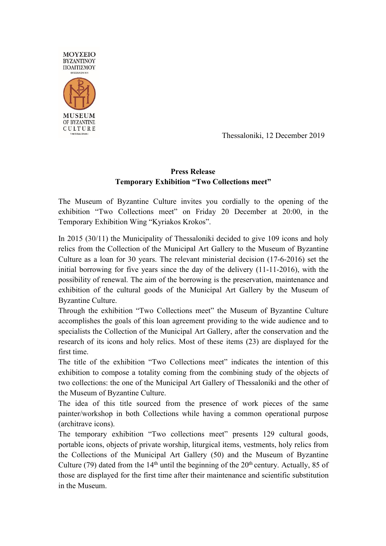

Thessaloniki, 12 December 2019

## **Press Release Temporary Exhibition "Two Collections meet"**

The Museum of Byzantine Culture invites you cordially to the opening of the exhibition "Two Collections meet" on Friday 20 December at 20:00, in the Temporary Exhibition Wing "Kyriakos Krokos".

In 2015 (30/11) the Municipality of Thessaloniki decided to give 109 icons and holy relics from the Collection of the Municipal Art Gallery to the Museum of Byzantine Culture as a loan for 30 years. The relevant ministerial decision (17-6-2016) set the initial borrowing for five years since the day of the delivery (11-11-2016), with the possibility of renewal. The aim of the borrowing is the preservation, maintenance and exhibition of the cultural goods of the Municipal Art Gallery by the Museum of Byzantine Culture.

Through the exhibition "Two Collections meet" the Museum of Byzantine Culture accomplishes the goals of this loan agreement providing to the wide audience and to specialists the Collection of the Municipal Art Gallery, after the conservation and the research of its icons and holy relics. Most of these items (23) are displayed for the first time.

The title of the exhibition "Two Collections meet" indicates the intention of this exhibition to compose a totality coming from the combining study of the objects of two collections: the one of the Municipal Art Gallery of Thessaloniki and the other of the Museum of Byzantine Culture.

The idea of this title sourced from the presence of work pieces of the same painter/workshop in both Collections while having a common operational purpose (architrave icons).

The temporary exhibition "Two collections meet" presents 129 cultural goods, portable icons, objects of private worship, liturgical items, vestments, holy relics from the Collections of the Municipal Art Gallery (50) and the Museum of Byzantine Culture (79) dated from the  $14<sup>th</sup>$  until the beginning of the  $20<sup>th</sup>$  century. Actually, 85 of those are displayed for the first time after their maintenance and scientific substitution in the Museum.